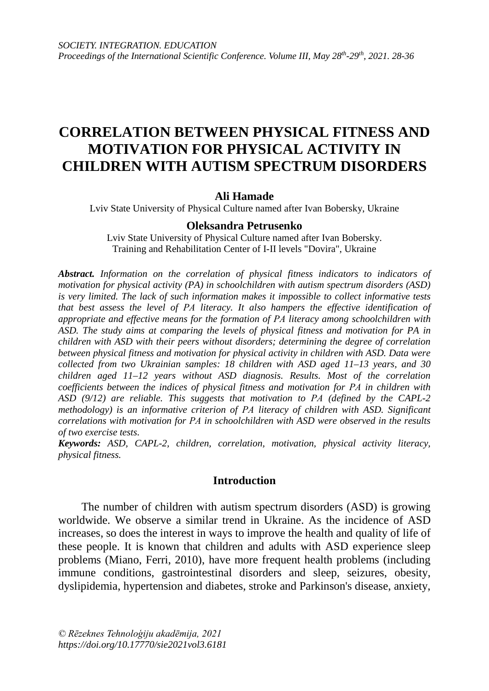# **CORRELATION BETWEEN PHYSICAL FITNESS AND MOTIVATION FOR PHYSICAL ACTIVITY IN CHILDREN WITH AUTISM SPECTRUM DISORDERS**

# **Ali Hamade**

Lviv State University of Physical Culture named after Ivan Bobersky, Ukraine

# **Oleksandra Petrusenko**

Lviv State University of Physical Culture named after Ivan Bobersky. Training and Rehabilitation Center of I-II levels "Dovira", Ukraine

*Abstract. Information on the correlation of physical fitness indicators to indicators of motivation for physical activity (PA) in schoolchildren with autism spectrum disorders (ASD) is very limited. The lack of such information makes it impossible to collect informative tests that best assess the level of РА literacy. It also hampers the effective identification of appropriate and effective means for the formation of РА literacy among schoolchildren with ASD. The study aims at comparing the levels of physical fitness and motivation for PA in children with ASD with their peers without disorders; determining the degree of correlation between physical fitness and motivation for physical activity in children with ASD. Data were collected from two Ukrainian samples: 18 children with ASD aged 11–13 years, and 30 children aged 11–12 years without ASD diagnosis. Results. Most of the correlation coefficients between the indices of physical fitness and motivation for РА in children with ASD (9/12) are reliable. This suggests that motivation to РА (defined by the CAPL-2 methodology) is an informative criterion of РА literacy of children with ASD. Significant correlations with motivation for РА in schoolchildren with ASD were observed in the results of two exercise tests.*

*Keywords: ASD, CAPL-2, children, correlation, motivation, physical activity literacy, physical fitness.* 

## **Introduction**

The number of children with autism spectrum disorders (ASD) is growing worldwide. We observe a similar trend in Ukraine. As the incidence of ASD increases, so does the interest in ways to improve the health and quality of life of these people. It is known that children and adults with ASD experience sleep problems (Miano, Ferri, 2010), have more frequent health problems (including immune conditions, gastrointestinal disorders and sleep, seizures, obesity, dyslipidemia, hypertension and diabetes, stroke and Parkinson's disease, anxiety,

*© Rēzeknes Tehnoloģiju akadēmija, 2021 https://doi.org/10.17770/sie2021vol3.6181*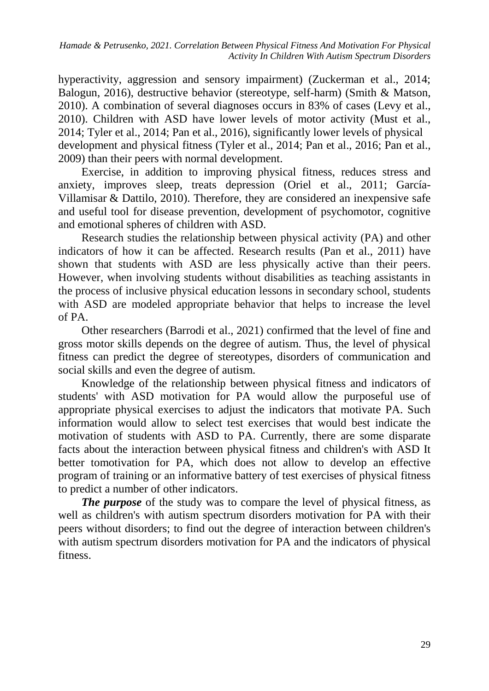hyperactivity, aggression and sensory impairment) (Zuckerman et al., 2014; Balogun, 2016), destructive behavior (stereotype, self-harm) (Smith & Matson, 2010). A combination of several diagnoses occurs in 83% of cases [\(Levy](https://www.ncbi.nlm.nih.gov/pubmed/?term=Levy%20SE%5BAuthor%5D&cauthor=true&cauthor_uid=20431403) et al., 2010). Children with ASD have lower levels of motor activity (Must et al., 2014; Tyler et al., 2014; Pan et al., 2016), significantly lower levels of physical development and physical fitness (Tyler et al., 2014; Pan et al., 2016; Pan et al., 2009) than their peers with normal development.

Exercise, in addition to improving physical fitness, reduces stress and anxiety, improves sleep, treats depression (Oriel et al., 2011; García-Villamisar & Dattilo, 2010). Therefore, they are considered an inexpensive safe and useful tool for disease prevention, development of psychomotor, cognitive and emotional spheres of children with ASD.

Research studies the relationship between physical activity (PA) and other indicators of how it can be affected. Research results (Pan et al., 2011) have shown that students with ASD are less physically active than their peers. However, when involving students without disabilities as teaching assistants in the process of inclusive physical education lessons in secondary school, students with ASD are modeled appropriate behavior that helps to increase the level of PA.

Other researchers (Barrodi et al., 2021) confirmed that the level of fine and gross motor skills depends on the degree of autism. Thus, the level of physical fitness can predict the degree of stereotypes, disorders of communication and social skills and even the degree of autism.

Knowledge of the relationship between physical fitness and indicators of students' with ASD motivation for PA would allow the purposeful use of appropriate physical exercises to adjust the indicators that motivate PA. Such information would allow to select test exercises that would best indicate the motivation of students with ASD to PA. Currently, there are some disparate facts about the interaction between physical fitness and children's with ASD It better tomotivation for PA, which does not allow to develop an effective program of training or an informative battery of test exercises of physical fitness to predict a number of other indicators.

*The purpose* of the study was to compare the level of physical fitness, as well as children's with autism spectrum disorders motivation for PA with their peers without disorders; to find out the degree of interaction between children's with autism spectrum disorders motivation for PA and the indicators of physical fitness.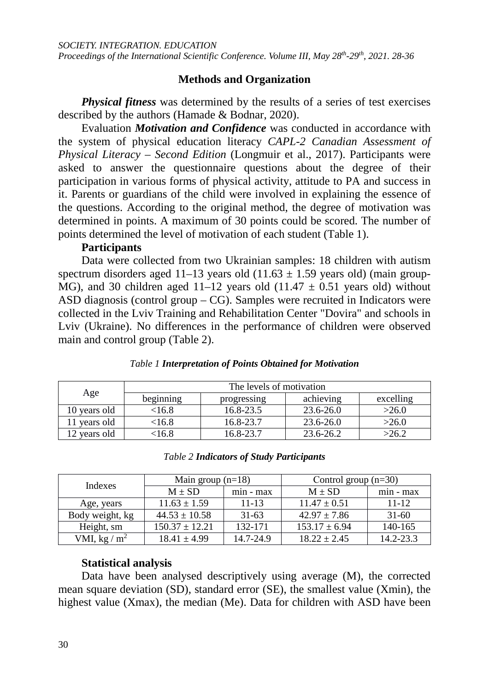# **Methods and Organization**

*Physical fitness* was determined by the results of a series of test exercises described by the authors (Hamade & Bodnar, 2020).

Evaluation *Motivation and Confidence* was conducted in accordance with the system of physical education literacy *CAPL-2 Canadian Assessment of Physical Literacy – Second Edition* (Longmuir et al., 2017). Participants were asked to answer the questionnaire questions about the degree of their participation in various forms of physical activity, attitude to PA and success in it. Parents or guardians of the child were involved in explaining the essence of the questions. According to the original method, the degree of motivation was determined in points. A maximum of 30 points could be scored. The number of points determined the level of motivation of each student (Table 1).

# **Participants**

Data were collected from two Ukrainian samples: 18 children with autism spectrum disorders aged 11–13 years old  $(11.63 \pm 1.59$  years old) (main group-MG), and 30 children aged 11–12 years old  $(11.47 \pm 0.51$  years old) without ASD diagnosis (control group – CG). Samples were recruited in Indicators were collected in the Lviv Training and Rehabilitation Center "Dovira" and schools in Lviv (Ukraine). No differences in the performance of children were observed main and control group (Table 2).

| Age          | The levels of motivation |             |           |           |  |  |  |  |
|--------------|--------------------------|-------------|-----------|-----------|--|--|--|--|
|              | beginning                | progressing | achieving | excelling |  |  |  |  |
| 10 years old | $<$ 16.8 $\,$            | 16.8-23.5   | 23.6-26.0 | >26.0     |  |  |  |  |
| 1 years old  | $<$ 16.8 $\,$            | 16.8-23.7   | 23.6-26.0 | >26.0     |  |  |  |  |
| 12 years old | $<$ 16.8 $\,$            | 16.8-23.7   | 23.6-26.2 | >26.2     |  |  |  |  |

## *Table 1 Interpretation of Points Obtained for Motivation*

| <b>Table 2 Indicators of Study Participants</b> |
|-------------------------------------------------|
|-------------------------------------------------|

| Indexes         | Main group $(n=18)$ |             | Control group $(n=30)$ |             |  |
|-----------------|---------------------|-------------|------------------------|-------------|--|
|                 | $M \pm SD$          | $min - max$ | $M \pm SD$             | $min - max$ |  |
| Age, years      | $11.63 \pm 1.59$    | $11 - 13$   | $11.47 \pm 0.51$       | $11 - 12$   |  |
| Body weight, kg | $44.53 \pm 10.58$   | $31-63$     | $42.97 \pm 7.86$       | $31 - 60$   |  |
| Height, sm      | $150.37 \pm 12.21$  | 132-171     | $153.17 \pm 6.94$      | 140-165     |  |
| VMI, kg / $m^2$ | $18.41 \pm 4.99$    | 14.7-24.9   | $18.22 \pm 2.45$       | 14.2-23.3   |  |

# **Statistical analysis**

Data have been analysed descriptively using average (M), the corrected mean square deviation (SD), standard error (SE), the smallest value (Xmin), the highest value (Xmax), the median (Me). Data for children with ASD have been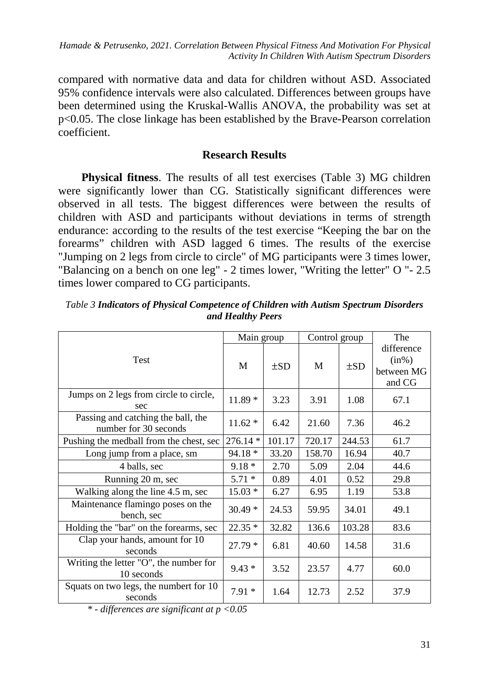compared with normative data and data for children without ASD. Associated 95% confidence intervals were also calculated. Differences between groups have been determined using the Kruskal-Wallis ANOVA, the probability was set at p<0.05. The close linkage has been established by the Brave-Pearson correlation coefficient.

# **Research Results**

**Physical fitness**. The results of all test exercises (Table 3) MG children were significantly lower than CG. Statistically significant differences were observed in all tests. The biggest differences were between the results of children with ASD and participants without deviations in terms of strength endurance: according to the results of the test exercise "Keeping the bar on the forearms" children with ASD lagged 6 times. The results of the exercise "Jumping on 2 legs from circle to circle" of MG participants were 3 times lower, "Balancing on a bench on one leg" - 2 times lower, "Writing the letter" O "- 2.5 times lower compared to CG participants.

|                                                             | Main group |          | Control group |          | The                                            |
|-------------------------------------------------------------|------------|----------|---------------|----------|------------------------------------------------|
| Test                                                        | M          | $\pm SD$ | M             | $\pm SD$ | difference<br>$(in\%)$<br>between MG<br>and CG |
| Jumps on 2 legs from circle to circle,<br>sec               | $11.89*$   | 3.23     | 3.91          | 1.08     | 67.1                                           |
| Passing and catching the ball, the<br>number for 30 seconds | $11.62*$   | 6.42     | 21.60         | 7.36     | 46.2                                           |
| Pushing the medball from the chest, sec                     | $276.14*$  | 101.17   | 720.17        | 244.53   | 61.7                                           |
| Long jump from a place, sm                                  | 94.18 *    | 33.20    | 158.70        | 16.94    | 40.7                                           |
| 4 balls, sec                                                | $9.18*$    | 2.70     | 5.09          | 2.04     | 44.6                                           |
| Running 20 m, sec                                           | $5.71*$    | 0.89     | 4.01          | 0.52     | 29.8                                           |
| Walking along the line 4.5 m, sec                           | $15.03*$   | 6.27     | 6.95          | 1.19     | 53.8                                           |
| Maintenance flamingo poses on the<br>bench, sec             | $30.49*$   | 24.53    | 59.95         | 34.01    | 49.1                                           |
| Holding the "bar" on the forearms, sec                      | $22.35*$   | 32.82    | 136.6         | 103.28   | 83.6                                           |
| Clap your hands, amount for 10<br>seconds                   | $27.79*$   | 6.81     | 40.60         | 14.58    | 31.6                                           |
| Writing the letter "O", the number for<br>10 seconds        | $9.43*$    | 3.52     | 23.57         | 4.77     | 60.0                                           |
| Squats on two legs, the numbert for 10<br>seconds           | $7.91*$    | 1.64     | 12.73         | 2.52     | 37.9                                           |

*Table 3 Indicators of Physical Competence of Children with Autism Spectrum Disorders and Healthy Peers*

*\* - differences are significant at p <0.05*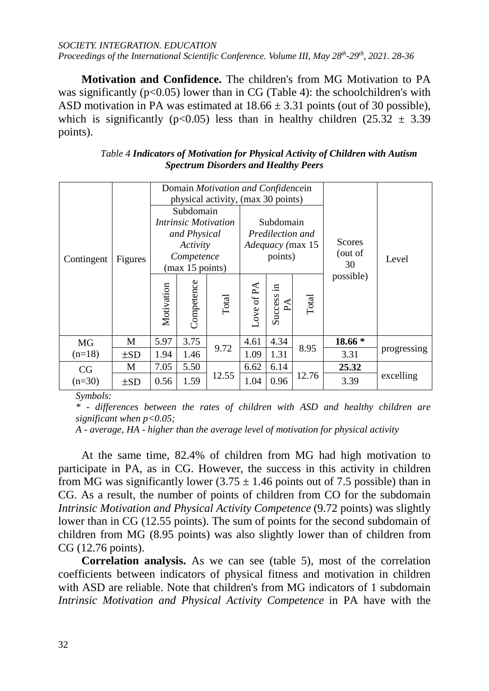#### *SOCIETY. INTEGRATION. EDUCATION Proceedings of the International Scientific Conference. Volume III, May 28<sup>th</sup>-29<sup>th</sup>, 2021. 28-36*

**Motivation and Confidence.** The children's from MG Motivation to PA was significantly ( $p<0.05$ ) lower than in CG (Table 4): the schoolchildren's with ASD motivation in PA was estimated at  $18.66 \pm 3.31$  points (out of 30 possible), which is significantly ( $p<0.05$ ) less than in healthy children (25.32  $\pm$  3.39 points).

| Table 4 Indicators of Motivation for Physical Activity of Children with Autism |
|--------------------------------------------------------------------------------|
| <b>Spectrum Disorders and Healthy Peers</b>                                    |

|                | Figures  | Domain Motivation and Confidencein<br>physical activity, (max 30 points)                              |            |       |                                                                     |                  |       |                                |             |
|----------------|----------|-------------------------------------------------------------------------------------------------------|------------|-------|---------------------------------------------------------------------|------------------|-------|--------------------------------|-------------|
| Contingent     |          | Subdomain<br><i>Intrinsic Motivation</i><br>and Physical<br>Activity<br>Competence<br>(max 15 points) |            |       | Subdomain<br>Predilection and<br><i>Adequacy</i> (max 15<br>points) |                  |       | <b>Scores</b><br>(out of<br>30 | Level       |
|                |          | Motivation                                                                                            | Competence | Total | ove of PA                                                           | Success in<br>PA | Total | possible)                      |             |
| <b>MG</b>      | M        | 5.97                                                                                                  | 3.75       | 9.72  | 4.61                                                                | 4.34             | 8.95  | 18.66 *                        |             |
| $(n=18)$       | $\pm SD$ | 1.94                                                                                                  | 1.46       |       | 1.09                                                                | 1.31             |       | 3.31                           | progressing |
| CG<br>$(n=30)$ | M        | 7.05                                                                                                  | 5.50       |       | 6.62                                                                | 6.14             |       | 25.32                          |             |
|                | $\pm SD$ | 0.56                                                                                                  | 1.59       | 12.55 | 1.04                                                                | 0.96             | 12.76 | 3.39                           | excelling   |

*Symbols:*

*\* - differences between the rates of children with ASD and healthy children are significant when p<0.05;*

*A - average, HA - higher than the average level of motivation for physical activity*

At the same time, 82.4% of children from MG had high motivation to participate in PA, as in CG. However, the success in this activity in children from MG was significantly lower  $(3.75 \pm 1.46$  points out of 7.5 possible) than in CG. As a result, the number of points of children from CO for the subdomain *Intrinsic Motivation and Physical Activity Competence* (9.72 points) was slightly lower than in CG (12.55 points). The sum of points for the second subdomain of children from MG (8.95 points) was also slightly lower than of children from CG (12.76 points).

**Correlation analysis.** As we can see (table 5), most of the correlation coefficients between indicators of physical fitness and motivation in children with ASD are reliable. Note that children's from MG indicators of 1 subdomain *Intrinsic Motivation and Physical Activity Competence* in PA have with the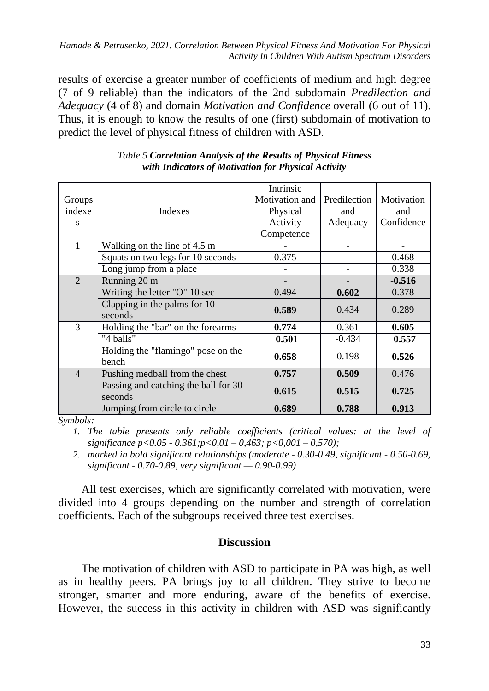*Hamade & Petrusenko, 2021. Correlation Between Physical Fitness And Motivation For Physical Activity In Children With Autism Spectrum Disorders*

results of exercise a greater number of coefficients of medium and high degree (7 of 9 reliable) than the indicators of the 2nd subdomain *Predilection and Adequacy* (4 of 8) and domain *Motivation and Confidence* overall (6 out of 11). Thus, it is enough to know the results of one (first) subdomain of motivation to predict the level of physical fitness of children with ASD.

| Groups         |                                                 | Intrinsic<br>Motivation and | Predilection | Motivation |
|----------------|-------------------------------------------------|-----------------------------|--------------|------------|
| indexe         | Indexes                                         | Physical                    | and          | and        |
| S              |                                                 | Activity                    | Adequacy     | Confidence |
|                |                                                 | Competence                  |              |            |
| 1              | Walking on the line of 4.5 m                    |                             |              |            |
|                | Squats on two legs for 10 seconds               | 0.375                       |              | 0.468      |
|                | Long jump from a place                          |                             |              | 0.338      |
| $\overline{2}$ | Running 20 m                                    |                             |              | $-0.516$   |
|                | Writing the letter "O" 10 sec                   | 0.494                       | 0.602        | 0.378      |
|                | Clapping in the palms for 10<br>seconds         | 0.589                       | 0.434        | 0.289      |
| 3              | Holding the "bar" on the forearms               | 0.774                       | 0.361        | 0.605      |
|                | "4 balls"                                       | $-0.501$                    | $-0.434$     | $-0.557$   |
|                | Holding the "flamingo" pose on the<br>bench     | 0.658                       | 0.198        | 0.526      |
| $\overline{4}$ | Pushing medball from the chest                  | 0.757                       | 0.509        | 0.476      |
|                | Passing and catching the ball for 30<br>seconds | 0.615                       | 0.515        | 0.725      |
|                | Jumping from circle to circle                   | 0.689                       | 0.788        | 0.913      |

*Table 5 Correlation Analysis of the Results of Physical Fitness with Indicators of Motivation for Physical Activity*

*Symbols:*

*1. The table presents only reliable coefficients (critical values: at the level of significance p<0.05 - 0.361;p<0,01 – 0,463; p<0,001 – 0,570);*

*2. marked in bold significant relationships (moderate - 0.30-0.49, significant - 0.50-0.69, significant - 0.70-0.89, very significant — 0.90-0.99)*

All test exercises, which are significantly correlated with motivation, were divided into 4 groups depending on the number and strength of correlation coefficients. Each of the subgroups received three test exercises.

## **Discussion**

The motivation of children with ASD to participate in PA was high, as well as in healthy peers. PA brings joy to all children. They strive to become stronger, smarter and more enduring, aware of the benefits of exercise. However, the success in this activity in children with ASD was significantly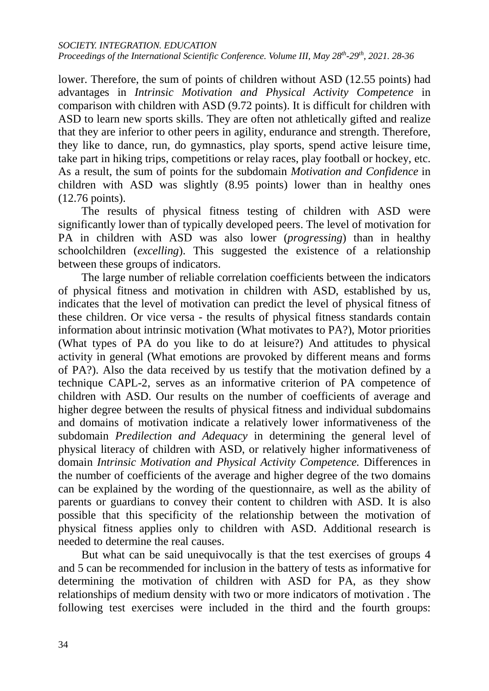#### *SOCIETY. INTEGRATION. EDUCATION*

*Proceedings of the International Scientific Conference. Volume III, May 28<sup>th</sup>-29<sup>th</sup>, 2021. 28-36* 

lower. Therefore, the sum of points of children without ASD (12.55 points) had advantages in *Intrinsic Motivation and Physical Activity Competence* in comparison with children with ASD (9.72 points). It is difficult for children with ASD to learn new sports skills. They are often not athletically gifted and realize that they are inferior to other peers in agility, endurance and strength. Therefore, they like to dance, run, do gymnastics, play sports, spend active leisure time, take part in hiking trips, competitions or relay races, play football or hockey, etc. As a result, the sum of points for the subdomain *Motivation and Confidence* in children with ASD was slightly (8.95 points) lower than in healthy ones (12.76 points).

The results of physical fitness testing of children with ASD were significantly lower than of typically developed peers. The level of motivation for PA in children with ASD was also lower (*progressing*) than in healthy schoolchildren (*excelling*). This suggested the existence of a relationship between these groups of indicators.

The large number of reliable correlation coefficients between the indicators of physical fitness and motivation in children with ASD, established by us, indicates that the level of motivation can predict the level of physical fitness of these children. Or vice versa - the results of physical fitness standards contain information about intrinsic motivation (What motivates to PA?), Motor priorities (What types of PA do you like to do at leisure?) And attitudes to physical activity in general (What emotions are provoked by different means and forms of PA?). Also the data received by us testify that the motivation defined by a technique CAPL-2, serves as an informative criterion of PA competence of children with ASD. Our results on the number of coefficients of average and higher degree between the results of physical fitness and individual subdomains and domains of motivation indicate a relatively lower informativeness of the subdomain *Predilection and Adequacy* in determining the general level of physical literacy of children with ASD, or relatively higher informativeness of domain *Intrinsic Motivation and Physical Activity Competence.* Differences in the number of coefficients of the average and higher degree of the two domains can be explained by the wording of the questionnaire, as well as the ability of parents or guardians to convey their content to children with ASD. It is also possible that this specificity of the relationship between the motivation of physical fitness applies only to children with ASD. Additional research is needed to determine the real causes.

But what can be said unequivocally is that the test exercises of groups 4 and 5 can be recommended for inclusion in the battery of tests as informative for determining the motivation of children with ASD for PA, as they show relationships of medium density with two or more indicators of motivation . The following test exercises were included in the third and the fourth groups: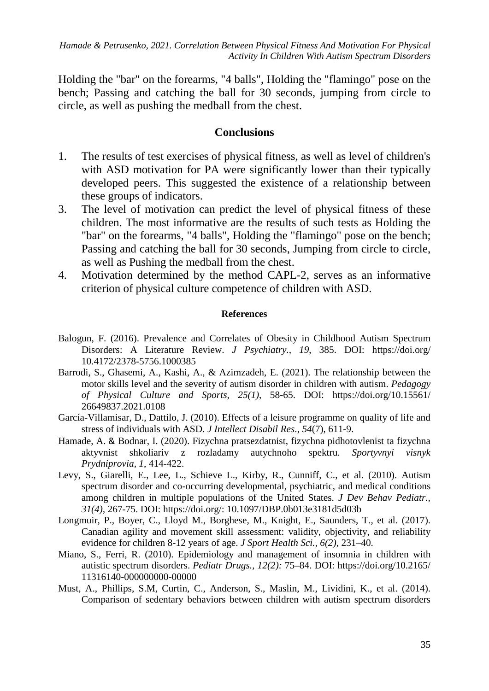*Hamade & Petrusenko, 2021. Correlation Between Physical Fitness And Motivation For Physical Activity In Children With Autism Spectrum Disorders*

Holding the "bar" on the forearms, "4 balls", Holding the "flamingo" pose on the bench; Passing and catching the ball for 30 seconds, jumping from circle to circle, as well as pushing the medball from the chest.

## **Conclusions**

- 1. The results of test exercises of physical fitness, as well as level of children's with ASD motivation for PA were significantly lower than their typically developed peers. This suggested the existence of a relationship between these groups of indicators.
- 3. The level of motivation can predict the level of physical fitness of these children. The most informative are the results of such tests as Holding the "bar" on the forearms, "4 balls", Holding the "flamingo" pose on the bench; Passing and catching the ball for 30 seconds, Jumping from circle to circle, as well as Pushing the medball from the chest.
- 4. Motivation determined by the method CAPL-2, serves as an informative criterion of physical culture competence of children with ASD.

#### **References**

- Balogun, F. (2016). Prevalence and Correlates of Obesity in Childhood Autism Spectrum Disorders: A Literature Review. *J Psychiatry., 19*, 385. DOI: https://doi.org/ 10.4172/2378-5756.1000385
- Barrodi, S., Ghasemi, A., Kashi, A., & Azimzadeh, E. (2021). The relationship between the motor skills level and the severity of autism disorder in children with autism. *Pedagogy of Physical Culture and Sports, 25(1)*, 58-65. DOI: https://doi.org/10.15561/ 26649837.2021.0108
- García-Villamisar, D., Dattilo, J. (2010). Effects of a leisure programme on quality of life and stress of individuals with ASD. *J Intellect Disabil Res*., *54*(7), 611-9.
- Hamade, A. & Bodnar, I. (2020). Fizychna pratsezdatnist, fizychna pidhotovlenist ta fizychna aktyvnist shkoliariv z rozladamy autychnoho spektru. *Sportyvnyi visnyk Prydniprovia, 1*, 414-422.
- Levy, S., Giarelli, E., Lee, L., Schieve L., Kirby, R., Cunniff, C., et al. (2010). Autism spectrum disorder and co-occurring developmental, psychiatric, and medical conditions among children in multiple populations of the United States. *J Dev Behav Pediatr., 31(4),* 267-75. DOI: https://doi.org/: 10.1097/DBP.0b013e3181d5d03b
- Longmuir, P., Boyer, C., Lloyd M., Borghese, M., Knight, E., Saunders, T., et al. (2017). Canadian agility and movement skill assessment: validity, objectivity, and reliability evidence for children 8-12 years of age. *J Sport Health Sci., 6(2),* 231–40.
- Miano, S., Ferri, R. (2010). Epidemiology and management of insomnia in children with autistic spectrum disorders. *Pediatr Drugs., 12(2):* 75–84. DOI: https://doi.org/10.2165/ 11316140-000000000-00000
- Must, A., Phillips, S.M, Curtin, C., Anderson, S., Maslin, M., Lividini, K., et al. (2014). Comparison of sedentary behaviors between children with autism spectrum disorders